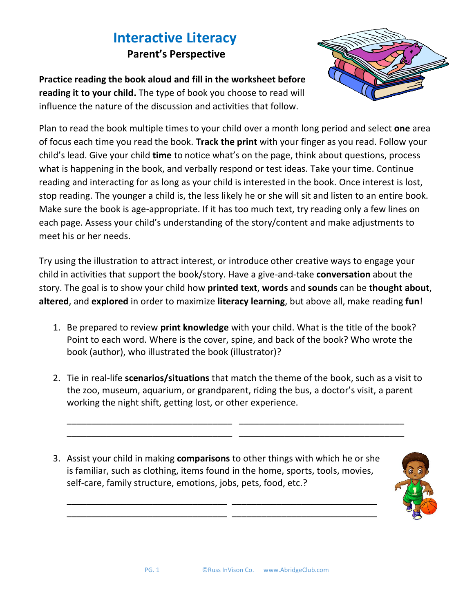## **Interactive Literacy Parent's Perspective**



**Practice reading the book aloud and fill in the worksheet before reading it to your child.** The type of book you choose to read will influence the nature of the discussion and activities that follow.

Plan to read the book multiple times to your child over a month long period and select **one** area of focus each time you read the book. **Track the print** with your finger as you read. Follow your child's lead. Give your child **time** to notice what's on the page, think about questions, process what is happening in the book, and verbally respond or test ideas. Take your time. Continue reading and interacting for as long as your child is interested in the book. Once interest is lost, stop reading. The younger a child is, the less likely he or she will sit and listen to an entire book. Make sure the book is age-appropriate. If it has too much text, try reading only a few lines on each page. Assess your child's understanding of the story/content and make adjustments to meet his or her needs.

Try using the illustration to attract interest, or introduce other creative ways to engage your child in activities that support the book/story. Have a give-and-take **conversation** about the story. The goal is to show your child how **printed text**, **words** and **sounds** can be **thought about**, **altered**, and **explored** in order to maximize **literacy learning**, but above all, make reading **fun**!

- 1. Be prepared to review **print knowledge** with your child. What is the title of the book? Point to each word. Where is the cover, spine, and back of the book? Who wrote the book (author), who illustrated the book (illustrator)?
- 2. Tie in real-life **scenarios/situations** that match the theme of the book, such as a visit to the zoo, museum, aquarium, or grandparent, riding the bus, a doctor's visit, a parent working the night shift, getting lost, or other experience.

\_\_\_\_\_\_\_\_\_\_\_\_\_\_\_\_\_\_\_\_\_\_\_\_\_\_\_\_\_\_\_\_\_ \_\_\_\_\_\_\_\_\_\_\_\_\_\_\_\_\_\_\_\_\_\_\_\_\_\_\_\_\_\_\_\_\_ \_\_\_\_\_\_\_\_\_\_\_\_\_\_\_\_\_\_\_\_\_\_\_\_\_\_\_\_\_\_\_\_\_ \_\_\_\_\_\_\_\_\_\_\_\_\_\_\_\_\_\_\_\_\_\_\_\_\_\_\_\_\_\_\_\_\_

3. Assist your child in making **comparisons** to other things with which he or she is familiar, such as clothing, items found in the home, sports, tools, movies, self-care, family structure, emotions, jobs, pets, food, etc.?

\_\_\_\_\_\_\_\_\_\_\_\_\_\_\_\_\_\_\_\_\_\_\_\_\_\_\_\_\_\_\_\_ \_\_\_\_\_\_\_\_\_\_\_\_\_\_\_\_\_\_\_\_\_\_\_\_\_\_\_\_\_ \_\_\_\_\_\_\_\_\_\_\_\_\_\_\_\_\_\_\_\_\_\_\_\_\_\_\_\_\_\_\_\_ \_\_\_\_\_\_\_\_\_\_\_\_\_\_\_\_\_\_\_\_\_\_\_\_\_\_\_\_\_

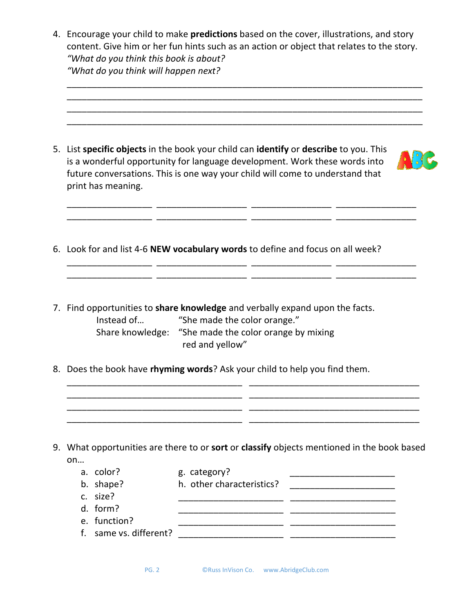4. Encourage your child to make **predictions** based on the cover, illustrations, and story content. Give him or her fun hints such as an action or object that relates to the story. *"What do you think this book is about? "What do you think will happen next?*

\_\_\_\_\_\_\_\_\_\_\_\_\_\_\_\_\_\_\_\_\_\_\_\_\_\_\_\_\_\_\_\_\_\_\_\_\_\_\_\_\_\_\_\_\_\_\_\_\_\_\_\_\_\_\_\_\_\_\_\_\_\_\_\_\_\_\_\_\_\_\_

\_\_\_\_\_\_\_\_\_\_\_\_\_\_\_\_\_\_\_\_\_\_\_\_\_\_\_\_\_\_\_\_\_\_\_\_\_\_\_\_\_\_\_\_\_\_\_\_\_\_\_\_\_\_\_\_\_\_\_\_\_\_\_\_\_\_\_\_\_\_\_ \_\_\_\_\_\_\_\_\_\_\_\_\_\_\_\_\_\_\_\_\_\_\_\_\_\_\_\_\_\_\_\_\_\_\_\_\_\_\_\_\_\_\_\_\_\_\_\_\_\_\_\_\_\_\_\_\_\_\_\_\_\_\_\_\_\_\_\_\_\_\_ \_\_\_\_\_\_\_\_\_\_\_\_\_\_\_\_\_\_\_\_\_\_\_\_\_\_\_\_\_\_\_\_\_\_\_\_\_\_\_\_\_\_\_\_\_\_\_\_\_\_\_\_\_\_\_\_\_\_\_\_\_\_\_\_\_\_\_\_\_\_\_ 5. List **specific objects** in the book your child can **identify** or **describe** to you. This is a wonderful opportunity for language development. Work these words into future conversations. This is one way your child will come to understand that print has meaning. \_\_\_\_\_\_\_\_\_\_\_\_\_\_\_\_\_ \_\_\_\_\_\_\_\_\_\_\_\_\_\_\_\_\_\_ \_\_\_\_\_\_\_\_\_\_\_\_\_\_\_\_ \_\_\_\_\_\_\_\_\_\_\_\_\_\_\_\_ \_\_\_\_\_\_\_\_\_\_\_\_\_\_\_\_\_ \_\_\_\_\_\_\_\_\_\_\_\_\_\_\_\_\_\_ \_\_\_\_\_\_\_\_\_\_\_\_\_\_\_\_ \_\_\_\_\_\_\_\_\_\_\_\_\_\_\_\_ 6. Look for and list 4-6 **NEW vocabulary words** to define and focus on all week? \_\_\_\_\_\_\_\_\_\_\_\_\_\_\_\_\_ \_\_\_\_\_\_\_\_\_\_\_\_\_\_\_\_\_\_ \_\_\_\_\_\_\_\_\_\_\_\_\_\_\_\_ \_\_\_\_\_\_\_\_\_\_\_\_\_\_\_\_ \_\_\_\_\_\_\_\_\_\_\_\_\_\_\_\_\_ \_\_\_\_\_\_\_\_\_\_\_\_\_\_\_\_\_\_ \_\_\_\_\_\_\_\_\_\_\_\_\_\_\_\_ \_\_\_\_\_\_\_\_\_\_\_\_\_\_\_\_ 7. Find opportunities to **share knowledge** and verbally expand upon the facts. Instead of... "She made the color orange." Share knowledge: "She made the color orange by mixing red and yellow" 8. Does the book have **rhyming words**? Ask your child to help you find them. \_\_\_\_\_\_\_\_\_\_\_\_\_\_\_\_\_\_\_\_\_\_\_\_\_\_\_\_\_\_\_\_\_\_\_ \_\_\_\_\_\_\_\_\_\_\_\_\_\_\_\_\_\_\_\_\_\_\_\_\_\_\_\_\_\_\_\_\_\_ \_\_\_\_\_\_\_\_\_\_\_\_\_\_\_\_\_\_\_\_\_\_\_\_\_\_\_\_\_\_\_\_\_\_\_ \_\_\_\_\_\_\_\_\_\_\_\_\_\_\_\_\_\_\_\_\_\_\_\_\_\_\_\_\_\_\_\_\_\_ \_\_\_\_\_\_\_\_\_\_\_\_\_\_\_\_\_\_\_\_\_\_\_\_\_\_\_\_\_\_\_\_\_\_\_ \_\_\_\_\_\_\_\_\_\_\_\_\_\_\_\_\_\_\_\_\_\_\_\_\_\_\_\_\_\_\_\_\_\_ \_\_\_\_\_\_\_\_\_\_\_\_\_\_\_\_\_\_\_\_\_\_\_\_\_\_\_\_\_\_\_\_\_\_\_ \_\_\_\_\_\_\_\_\_\_\_\_\_\_\_\_\_\_\_\_\_\_\_\_\_\_\_\_\_\_\_\_\_\_ 9. What opportunities are there to or **sort** or **classify** objects mentioned in the book based on… a. color? e. category? b. shape? h. other characteristics? \_\_\_\_\_\_\_\_\_\_\_\_\_\_\_\_\_\_\_\_\_ c. size? \_\_\_\_\_\_\_\_\_\_\_\_\_\_\_\_\_\_\_\_\_ \_\_\_\_\_\_\_\_\_\_\_\_\_\_\_\_\_\_\_\_\_ d. form? e. function? \_\_\_\_\_\_\_\_\_\_\_\_\_\_\_\_\_\_\_\_\_ \_\_\_\_\_\_\_\_\_\_\_\_\_\_\_\_\_\_\_\_\_ f. same vs. different? \_\_\_\_\_\_\_\_\_\_\_\_\_\_\_\_\_\_\_\_\_ \_\_\_\_\_\_\_\_\_\_\_\_\_\_\_\_\_\_\_\_\_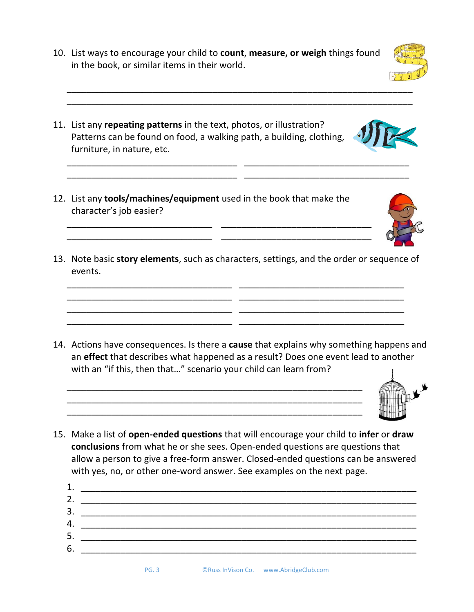PG. 3 ©Russ InVison Co. www.AbridgeClub.com

10. List ways to encourage your child to **count**, **measure, or weigh** things found in the book, or similar items in their world.

\_\_\_\_\_\_\_\_\_\_\_\_\_\_\_\_\_\_\_\_\_\_\_\_\_\_\_\_\_\_\_\_\_\_\_\_\_\_\_\_\_\_\_\_\_\_\_\_\_\_\_\_\_\_\_\_\_\_\_\_\_\_\_\_\_\_\_\_\_ \_\_\_\_\_\_\_\_\_\_\_\_\_\_\_\_\_\_\_\_\_\_\_\_\_\_\_\_\_\_\_\_\_\_\_\_\_\_\_\_\_\_\_\_\_\_\_\_\_\_\_\_\_\_\_\_\_\_\_\_\_\_\_\_\_\_\_\_\_

\_\_\_\_\_\_\_\_\_\_\_\_\_\_\_\_\_\_\_\_\_\_\_\_\_\_\_\_\_\_\_\_\_\_ \_\_\_\_\_\_\_\_\_\_\_\_\_\_\_\_\_\_\_\_\_\_\_\_\_\_\_\_\_\_\_\_\_ \_\_\_\_\_\_\_\_\_\_\_\_\_\_\_\_\_\_\_\_\_\_\_\_\_\_\_\_\_\_\_\_\_\_ \_\_\_\_\_\_\_\_\_\_\_\_\_\_\_\_\_\_\_\_\_\_\_\_\_\_\_\_\_\_\_\_\_

- 11. List any **repeating patterns** in the text, photos, or illustration? Patterns can be found on food, a walking path, a building, clothing, furniture, in nature, etc.
- 12. List any **tools/machines/equipment** used in the book that make the character's job easier?

\_\_\_\_\_\_\_\_\_\_\_\_\_\_\_\_\_\_\_\_\_\_\_\_\_\_\_\_\_ \_\_\_\_\_\_\_\_\_\_\_\_\_\_\_\_\_\_\_\_\_\_\_\_\_\_\_\_\_\_ \_\_\_\_\_\_\_\_\_\_\_\_\_\_\_\_\_\_\_\_\_\_\_\_\_\_\_\_\_ \_\_\_\_\_\_\_\_\_\_\_\_\_\_\_\_\_\_\_\_\_\_\_\_\_\_\_\_\_\_

13. Note basic **story elements**, such as characters, settings, and the order or sequence of events.

\_\_\_\_\_\_\_\_\_\_\_\_\_\_\_\_\_\_\_\_\_\_\_\_\_\_\_\_\_\_\_\_\_ \_\_\_\_\_\_\_\_\_\_\_\_\_\_\_\_\_\_\_\_\_\_\_\_\_\_\_\_\_\_\_\_\_ \_\_\_\_\_\_\_\_\_\_\_\_\_\_\_\_\_\_\_\_\_\_\_\_\_\_\_\_\_\_\_\_\_ \_\_\_\_\_\_\_\_\_\_\_\_\_\_\_\_\_\_\_\_\_\_\_\_\_\_\_\_\_\_\_\_\_ \_\_\_\_\_\_\_\_\_\_\_\_\_\_\_\_\_\_\_\_\_\_\_\_\_\_\_\_\_\_\_\_\_ \_\_\_\_\_\_\_\_\_\_\_\_\_\_\_\_\_\_\_\_\_\_\_\_\_\_\_\_\_\_\_\_\_ \_\_\_\_\_\_\_\_\_\_\_\_\_\_\_\_\_\_\_\_\_\_\_\_\_\_\_\_\_\_\_\_\_ \_\_\_\_\_\_\_\_\_\_\_\_\_\_\_\_\_\_\_\_\_\_\_\_\_\_\_\_\_\_\_\_\_

14. Actions have consequences. Is there a **cause** that explains why something happens and an **effect** that describes what happened as a result? Does one event lead to another with an "if this, then that..." scenario your child can learn from?

\_\_\_\_\_\_\_\_\_\_\_\_\_\_\_\_\_\_\_\_\_\_\_\_\_\_\_\_\_\_\_\_\_\_\_\_\_\_\_\_\_\_\_\_\_\_\_\_\_\_\_\_\_\_\_\_\_\_\_ \_\_\_\_\_\_\_\_\_\_\_\_\_\_\_\_\_\_\_\_\_\_\_\_\_\_\_\_\_\_\_\_\_\_\_\_\_\_\_\_\_\_\_\_\_\_\_\_\_\_\_\_\_\_\_\_\_\_\_ \_\_\_\_\_\_\_\_\_\_\_\_\_\_\_\_\_\_\_\_\_\_\_\_\_\_\_\_\_\_\_\_\_\_\_\_\_\_\_\_\_\_\_\_\_\_\_\_\_\_\_\_\_\_\_\_\_\_\_

15. Make a list of **open-ended questions** that will encourage your child to **infer** or **draw conclusions** from what he or she sees. Open-ended questions are questions that allow a person to give a free-form answer. Closed-ended questions can be answered with yes, no, or other one-word answer. See examples on the next page.

| 1. |  |
|----|--|
| 2. |  |
| 3. |  |
| 4. |  |
| 5. |  |
| 6. |  |
|    |  |





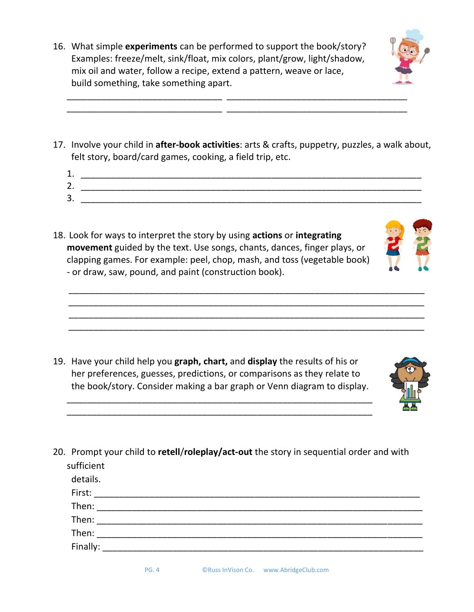16. What simple **experiments** can be performed to support the book/story? Examples: freeze/melt, sink/float, mix colors, plant/grow, light/shadow, mix oil and water, follow a recipe, extend a pattern, weave or lace, build something, take something apart.



17. Involve your child in **after-book activities**: arts & crafts, puppetry, puzzles, a walk about, felt story, board/card games, cooking, a field trip, etc.

\_\_\_\_\_\_\_\_\_\_\_\_\_\_\_\_\_\_\_\_\_\_\_\_\_\_\_\_\_\_\_ \_\_\_\_\_\_\_\_\_\_\_\_\_\_\_\_\_\_\_\_\_\_\_\_\_\_\_\_\_\_\_\_\_\_\_\_ \_\_\_\_\_\_\_\_\_\_\_\_\_\_\_\_\_\_\_\_\_\_\_\_\_\_\_\_\_\_\_ \_\_\_\_\_\_\_\_\_\_\_\_\_\_\_\_\_\_\_\_\_\_\_\_\_\_\_\_\_\_\_\_\_\_\_\_

1. \_\_\_\_\_\_\_\_\_\_\_\_\_\_\_\_\_\_\_\_\_\_\_\_\_\_\_\_\_\_\_\_\_\_\_\_\_\_\_\_\_\_\_\_\_\_\_\_\_\_\_\_\_\_\_\_\_\_\_\_\_\_\_\_\_\_\_\_ 2. \_\_\_\_\_\_\_\_\_\_\_\_\_\_\_\_\_\_\_\_\_\_\_\_\_\_\_\_\_\_\_\_\_\_\_\_\_\_\_\_\_\_\_\_\_\_\_\_\_\_\_\_\_\_\_\_\_\_\_\_\_\_\_\_\_\_\_\_  $3.$ 

 \_\_\_\_\_\_\_\_\_\_\_\_\_\_\_\_\_\_\_\_\_\_\_\_\_\_\_\_\_\_\_\_\_\_\_\_\_\_\_\_\_\_\_\_\_\_\_\_\_\_\_\_\_\_\_\_\_\_\_\_\_\_\_\_\_\_\_\_\_\_\_ \_\_\_\_\_\_\_\_\_\_\_\_\_\_\_\_\_\_\_\_\_\_\_\_\_\_\_\_\_\_\_\_\_\_\_\_\_\_\_\_\_\_\_\_\_\_\_\_\_\_\_\_\_\_\_\_\_\_\_\_\_\_\_\_\_\_\_\_\_\_\_ \_\_\_\_\_\_\_\_\_\_\_\_\_\_\_\_\_\_\_\_\_\_\_\_\_\_\_\_\_\_\_\_\_\_\_\_\_\_\_\_\_\_\_\_\_\_\_\_\_\_\_\_\_\_\_\_\_\_\_\_\_\_\_\_\_\_\_\_\_\_\_ \_\_\_\_\_\_\_\_\_\_\_\_\_\_\_\_\_\_\_\_\_\_\_\_\_\_\_\_\_\_\_\_\_\_\_\_\_\_\_\_\_\_\_\_\_\_\_\_\_\_\_\_\_\_\_\_\_\_\_\_\_\_\_\_\_\_\_\_\_\_\_

18. Look for ways to interpret the story by using **actions** or **integrating movement** guided by the text. Use songs, chants, dances, finger plays, or clapping games. For example: peel, chop, mash, and toss (vegetable book) - or draw, saw, pound, and paint (construction book).

19. Have your child help you **graph, chart,** and **display** the results of his or her preferences, guesses, predictions, or comparisons as they relate to the book/story. Consider making a bar graph or Venn diagram to display.

\_\_\_\_\_\_\_\_\_\_\_\_\_\_\_\_\_\_\_\_\_\_\_\_\_\_\_\_\_\_\_\_\_\_\_\_\_\_\_\_\_\_\_\_\_\_\_\_\_\_\_\_\_\_\_\_\_\_\_\_\_ \_\_\_\_\_\_\_\_\_\_\_\_\_\_\_\_\_\_\_\_\_\_\_\_\_\_\_\_\_\_\_\_\_\_\_\_\_\_\_\_\_\_\_\_\_\_\_\_\_\_\_\_\_\_\_\_\_\_\_\_\_



20. Prompt your child to **retell**/**roleplay/act-out** the story in sequential order and with sufficient

| details.                       |  |
|--------------------------------|--|
| First:                         |  |
| Then: $\overline{\phantom{a}}$ |  |
| Then:                          |  |
| Then:                          |  |
| Finally:                       |  |
|                                |  |